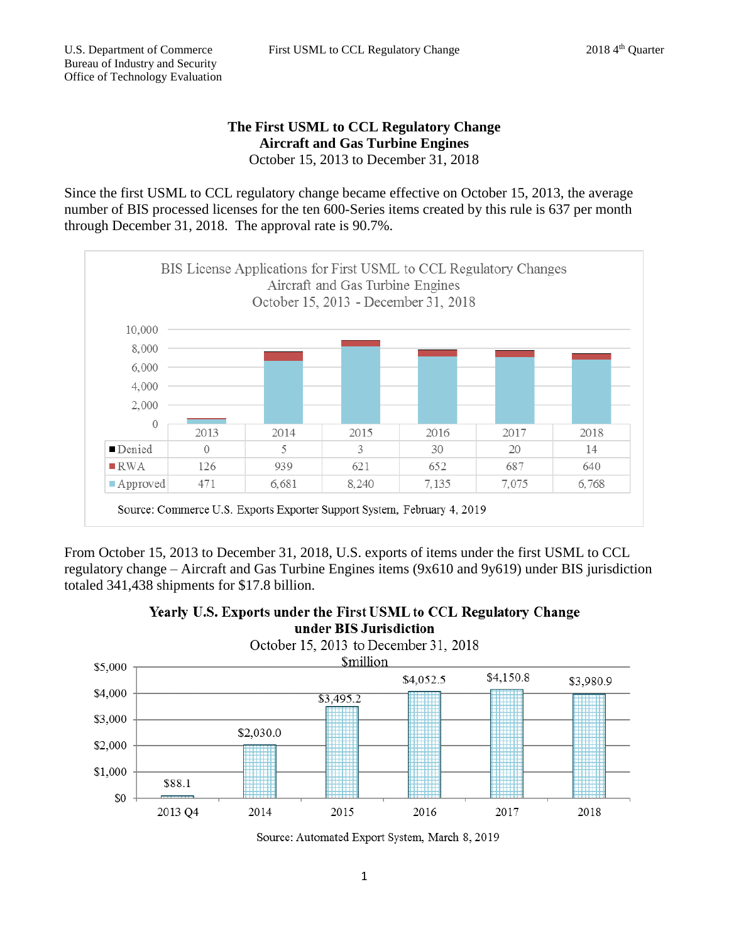## **The First USML to CCL Regulatory Change Aircraft and Gas Turbine Engines** October 15, 2013 to December 31, 2018

Since the first USML to CCL regulatory change became effective on October 15, 2013, the average number of BIS processed licenses for the ten 600-Series items created by this rule is 637 per month through December 31, 2018. The approval rate is 90.7%.



From October 15, 2013 to December 31, 2018, U.S. exports of items under the first USML to CCL regulatory change – Aircraft and Gas Turbine Engines items (9x610 and 9y619) under BIS jurisdiction totaled 341,438 shipments for \$17.8 billion.





Source: Automated Export System, March 8, 2019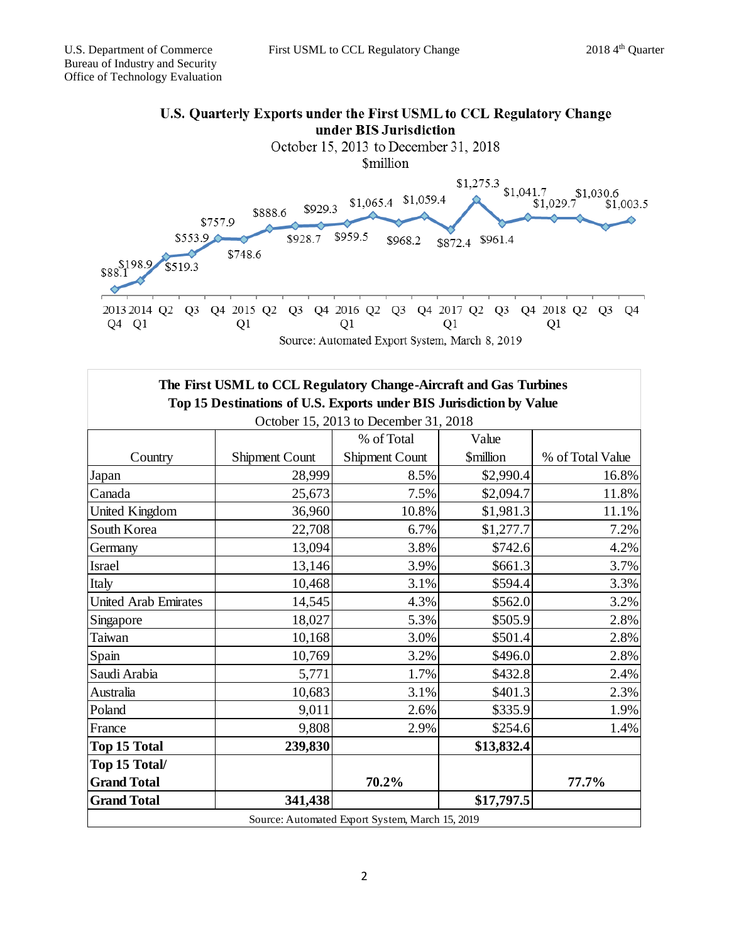

| The First USML to CCL Regulatory Change-Aircraft and Gas Turbines   |                |                |                 |                  |
|---------------------------------------------------------------------|----------------|----------------|-----------------|------------------|
| Top 15 Destinations of U.S. Exports under BIS Jurisdiction by Value |                |                |                 |                  |
| October 15, 2013 to December 31, 2018                               |                |                |                 |                  |
|                                                                     |                | % of Total     | Value           |                  |
| Country                                                             | Shipment Count | Shipment Count | <b>Smillion</b> | % of Total Value |
| Japan                                                               | 28,999         | 8.5%           | \$2,990.4       | 16.8%            |
| Canada                                                              | 25,673         | 7.5%           | \$2,094.7       | 11.8%            |
| United Kingdom                                                      | 36,960         | 10.8%          | \$1,981.3       | 11.1%            |
| South Korea                                                         | 22,708         | 6.7%           | \$1,277.7       | 7.2%             |
| Germany                                                             | 13,094         | 3.8%           | \$742.6         | 4.2%             |
| <b>Israel</b>                                                       | 13,146         | 3.9%           | \$661.3\$       | 3.7%             |
| Italy                                                               | 10,468         | 3.1%           | \$594.4         | 3.3%             |
| <b>United Arab Emirates</b>                                         | 14,545         | 4.3%           | \$562.0         | 3.2%             |
| Singapore                                                           | 18,027         | 5.3%           | \$505.9         | 2.8%             |
| Taiwan                                                              | 10,168         | 3.0%           | \$501.4         | 2.8%             |
| Spain                                                               | 10,769         | 3.2%           | \$496.0         | 2.8%             |
| Saudi Arabia                                                        | 5,771          | 1.7%           | \$432.8         | 2.4%             |
| Australia                                                           | 10,683         | 3.1%           | \$401.3         | 2.3%             |
| Poland                                                              | 9,011          | 2.6%           | \$335.9         | 1.9%             |
| France                                                              | 9,808          | 2.9%           | \$254.6         | 1.4%             |
| <b>Top 15 Total</b>                                                 | 239,830        |                | \$13,832.4      |                  |
| Top 15 Total/                                                       |                |                |                 |                  |
| <b>Grand Total</b>                                                  |                | 70.2%          |                 | 77.7%            |
| <b>Grand Total</b>                                                  | 341,438        |                | \$17,797.5      |                  |
| Source: Automated Export System, March 15, 2019                     |                |                |                 |                  |